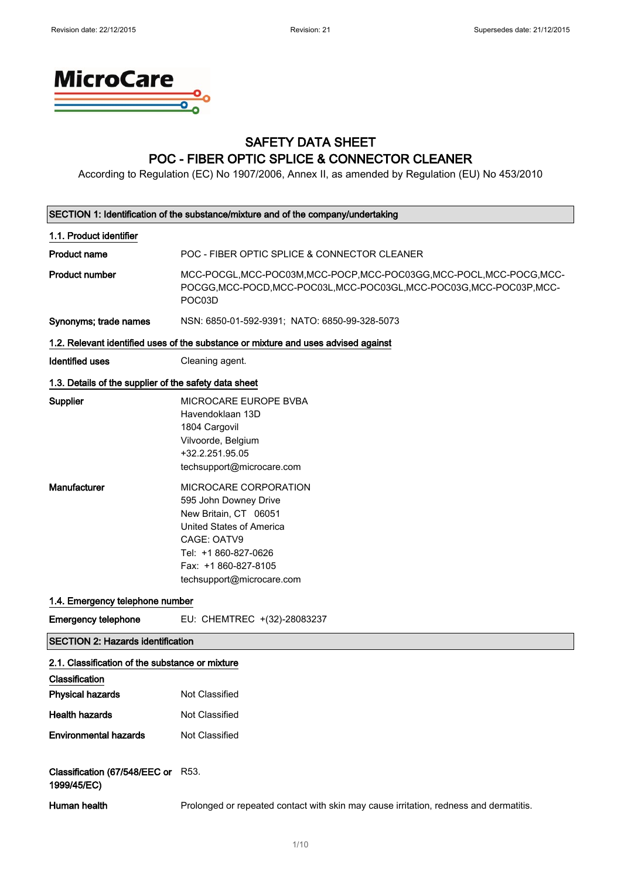

### SAFETY DATA SHEET POC - FIBER OPTIC SPLICE & CONNECTOR CLEANER

According to Regulation (EC) No 1907/2006, Annex II, as amended by Regulation (EU) No 453/2010

| SECTION 1: Identification of the substance/mixture and of the company/undertaking            |                                                                                                                                                                                                 |  |  |
|----------------------------------------------------------------------------------------------|-------------------------------------------------------------------------------------------------------------------------------------------------------------------------------------------------|--|--|
| 1.1. Product identifier                                                                      |                                                                                                                                                                                                 |  |  |
| <b>Product name</b>                                                                          | POC - FIBER OPTIC SPLICE & CONNECTOR CLEANER                                                                                                                                                    |  |  |
| <b>Product number</b>                                                                        | MCC-POCGL, MCC-POC03M, MCC-POCP, MCC-POC03GG, MCC-POCL, MCC-POCG, MCC-<br>POCGG, MCC-POCD, MCC-POC03L, MCC-POC03GL, MCC-POC03G, MCC-POC03P, MCC-<br>POC03D                                      |  |  |
| Synonyms; trade names                                                                        | NSN: 6850-01-592-9391; NATO: 6850-99-328-5073                                                                                                                                                   |  |  |
|                                                                                              | 1.2. Relevant identified uses of the substance or mixture and uses advised against                                                                                                              |  |  |
| <b>Identified uses</b>                                                                       | Cleaning agent.                                                                                                                                                                                 |  |  |
| 1.3. Details of the supplier of the safety data sheet                                        |                                                                                                                                                                                                 |  |  |
| Supplier                                                                                     | MICROCARE EUROPE BVBA<br>Havendoklaan 13D<br>1804 Cargovil<br>Vilvoorde, Belgium<br>+32.2.251.95.05<br>techsupport@microcare.com                                                                |  |  |
| Manufacturer                                                                                 | MICROCARE CORPORATION<br>595 John Downey Drive<br>New Britain, CT 06051<br>United States of America<br>CAGE: OATV9<br>Tel: +1 860-827-0626<br>Fax: +1 860-827-8105<br>techsupport@microcare.com |  |  |
| 1.4. Emergency telephone number                                                              |                                                                                                                                                                                                 |  |  |
| <b>Emergency telephone</b>                                                                   | EU: CHEMTREC +(32)-28083237                                                                                                                                                                     |  |  |
| <b>SECTION 2: Hazards identification</b>                                                     |                                                                                                                                                                                                 |  |  |
| 2.1. Classification of the substance or mixture<br>Classification<br><b>Physical hazards</b> | Not Classified                                                                                                                                                                                  |  |  |
| <b>Health hazards</b>                                                                        | Not Classified                                                                                                                                                                                  |  |  |
| <b>Environmental hazards</b>                                                                 | Not Classified                                                                                                                                                                                  |  |  |
| Classification (67/548/EEC or R53.<br>1999/45/EC)                                            |                                                                                                                                                                                                 |  |  |
| Human health                                                                                 | Prolonged or repeated contact with skin may cause irritation, redness and dermatitis.                                                                                                           |  |  |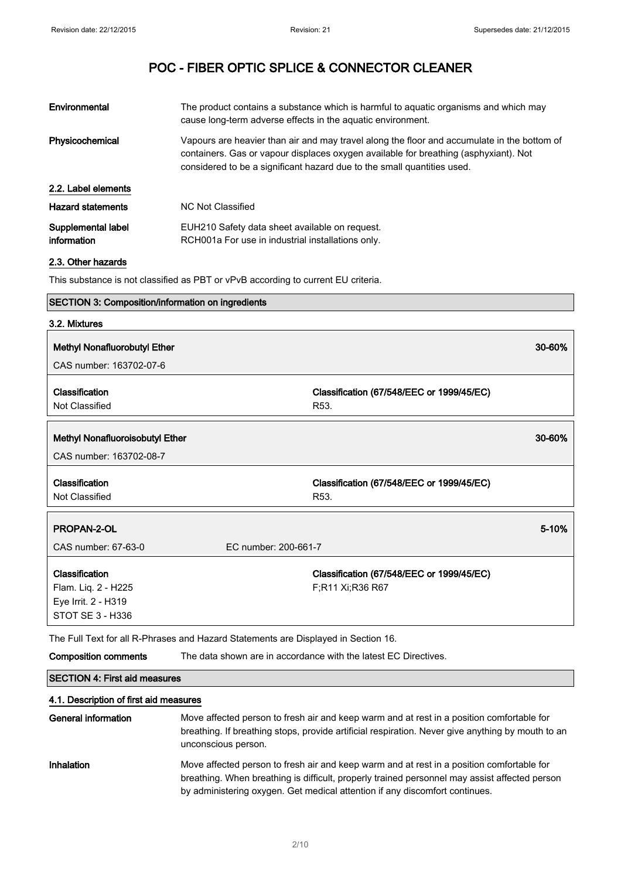| Environmental                     | The product contains a substance which is harmful to aguatic organisms and which may<br>cause long-term adverse effects in the aquatic environment.                                                                                                            |
|-----------------------------------|----------------------------------------------------------------------------------------------------------------------------------------------------------------------------------------------------------------------------------------------------------------|
| Physicochemical                   | Vapours are heavier than air and may travel along the floor and accumulate in the bottom of<br>containers. Gas or vapour displaces oxygen available for breathing (asphyxiant). Not<br>considered to be a significant hazard due to the small quantities used. |
| 2.2. Label elements               |                                                                                                                                                                                                                                                                |
| <b>Hazard statements</b>          | NC Not Classified                                                                                                                                                                                                                                              |
| Supplemental label<br>information | EUH210 Safety data sheet available on request.<br>RCH001a For use in industrial installations only.                                                                                                                                                            |
|                                   |                                                                                                                                                                                                                                                                |

2.3. Other hazards

This substance is not classified as PBT or vPvB according to current EU criteria.

### SECTION 3: Composition/information on ingredients 3.2. Mixtures Methyl Nonafluorobutyl Ether 30-60% CAS number: 163702-07-6 Classification Not Classified Classification (67/548/EEC or 1999/45/EC) R53. Methyl Nonafluoroisobutyl Ether 30-60% CAS number: 163702-08-7 Classification Not Classified Classification (67/548/EEC or 1999/45/EC) R53. **PROPAN-2-OL** 5-10% CAS number: 67-63-0 EC number: 200-661-7 Classification Flam. Liq. 2 - H225 Eye Irrit. 2 - H319 STOT SE 3 - H336 Classification (67/548/EEC or 1999/45/EC) F;R11 Xi;R36 R67

The Full Text for all R-Phrases and Hazard Statements are Displayed in Section 16.

Composition comments The data shown are in accordance with the latest EC Directives.

| <b>SECTION 4: First aid measures</b> |  |
|--------------------------------------|--|
|                                      |  |

### 4.1. Description of first aid measures

General information Move affected person to fresh air and keep warm and at rest in a position comfortable for breathing. If breathing stops, provide artificial respiration. Never give anything by mouth to an unconscious person. Inhalation **Move affected person to fresh air and keep warm and at rest in a position comfortable for** breathing. When breathing is difficult, properly trained personnel may assist affected person by administering oxygen. Get medical attention if any discomfort continues.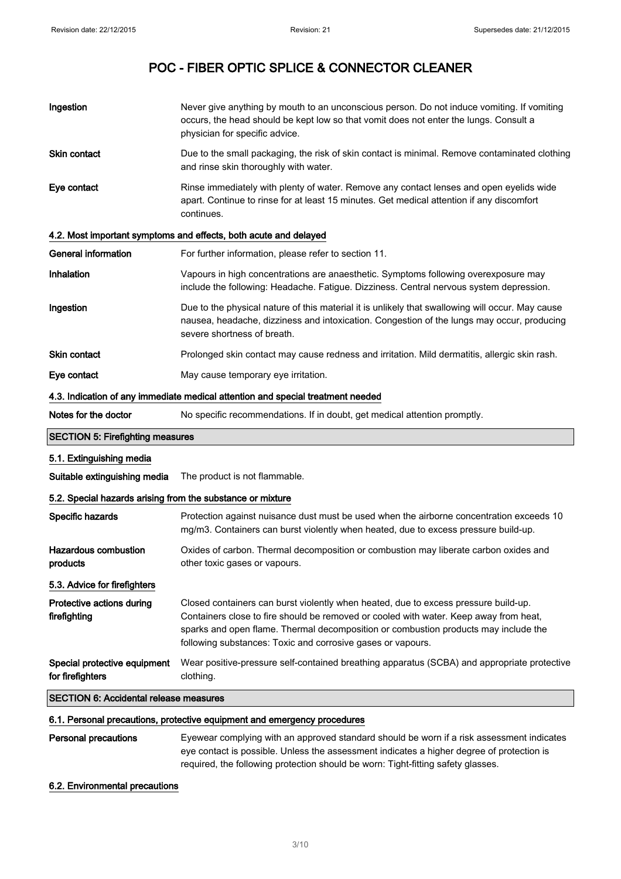| Ingestion                                                                                         | Never give anything by mouth to an unconscious person. Do not induce vomiting. If vomiting<br>occurs, the head should be kept low so that vomit does not enter the lungs. Consult a<br>physician for specific advice.                                                                                                              |  |  |  |
|---------------------------------------------------------------------------------------------------|------------------------------------------------------------------------------------------------------------------------------------------------------------------------------------------------------------------------------------------------------------------------------------------------------------------------------------|--|--|--|
| <b>Skin contact</b>                                                                               | Due to the small packaging, the risk of skin contact is minimal. Remove contaminated clothing<br>and rinse skin thoroughly with water.                                                                                                                                                                                             |  |  |  |
| Eye contact                                                                                       | Rinse immediately with plenty of water. Remove any contact lenses and open eyelids wide<br>apart. Continue to rinse for at least 15 minutes. Get medical attention if any discomfort<br>continues.                                                                                                                                 |  |  |  |
|                                                                                                   | 4.2. Most important symptoms and effects, both acute and delayed                                                                                                                                                                                                                                                                   |  |  |  |
| <b>General information</b>                                                                        | For further information, please refer to section 11.                                                                                                                                                                                                                                                                               |  |  |  |
| Inhalation                                                                                        | Vapours in high concentrations are anaesthetic. Symptoms following overexposure may<br>include the following: Headache. Fatigue. Dizziness. Central nervous system depression.                                                                                                                                                     |  |  |  |
| Ingestion                                                                                         | Due to the physical nature of this material it is unlikely that swallowing will occur. May cause<br>nausea, headache, dizziness and intoxication. Congestion of the lungs may occur, producing<br>severe shortness of breath.                                                                                                      |  |  |  |
| Skin contact                                                                                      | Prolonged skin contact may cause redness and irritation. Mild dermatitis, allergic skin rash.                                                                                                                                                                                                                                      |  |  |  |
| Eye contact                                                                                       | May cause temporary eye irritation.                                                                                                                                                                                                                                                                                                |  |  |  |
|                                                                                                   | 4.3. Indication of any immediate medical attention and special treatment needed                                                                                                                                                                                                                                                    |  |  |  |
| Notes for the doctor<br>No specific recommendations. If in doubt, get medical attention promptly. |                                                                                                                                                                                                                                                                                                                                    |  |  |  |
| <b>SECTION 5: Firefighting measures</b>                                                           |                                                                                                                                                                                                                                                                                                                                    |  |  |  |
|                                                                                                   |                                                                                                                                                                                                                                                                                                                                    |  |  |  |
| 5.1. Extinguishing media                                                                          |                                                                                                                                                                                                                                                                                                                                    |  |  |  |
| Suitable extinguishing media                                                                      | The product is not flammable.                                                                                                                                                                                                                                                                                                      |  |  |  |
| 5.2. Special hazards arising from the substance or mixture                                        |                                                                                                                                                                                                                                                                                                                                    |  |  |  |
| Specific hazards                                                                                  | Protection against nuisance dust must be used when the airborne concentration exceeds 10<br>mg/m3. Containers can burst violently when heated, due to excess pressure build-up.                                                                                                                                                    |  |  |  |
| <b>Hazardous combustion</b><br>products                                                           | Oxides of carbon. Thermal decomposition or combustion may liberate carbon oxides and<br>other toxic gases or vapours.                                                                                                                                                                                                              |  |  |  |
| 5.3. Advice for firefighters                                                                      |                                                                                                                                                                                                                                                                                                                                    |  |  |  |
| Protective actions during<br>firefighting                                                         | Closed containers can burst violently when heated, due to excess pressure build-up.<br>Containers close to fire should be removed or cooled with water. Keep away from heat,<br>sparks and open flame. Thermal decomposition or combustion products may include the<br>following substances: Toxic and corrosive gases or vapours. |  |  |  |
| Special protective equipment<br>for firefighters                                                  | Wear positive-pressure self-contained breathing apparatus (SCBA) and appropriate protective<br>clothing.                                                                                                                                                                                                                           |  |  |  |
| <b>SECTION 6: Accidental release measures</b>                                                     |                                                                                                                                                                                                                                                                                                                                    |  |  |  |
|                                                                                                   | 6.1. Personal precautions, protective equipment and emergency procedures                                                                                                                                                                                                                                                           |  |  |  |

6.2. Environmental precautions

required, the following protection should be worn: Tight-fitting safety glasses.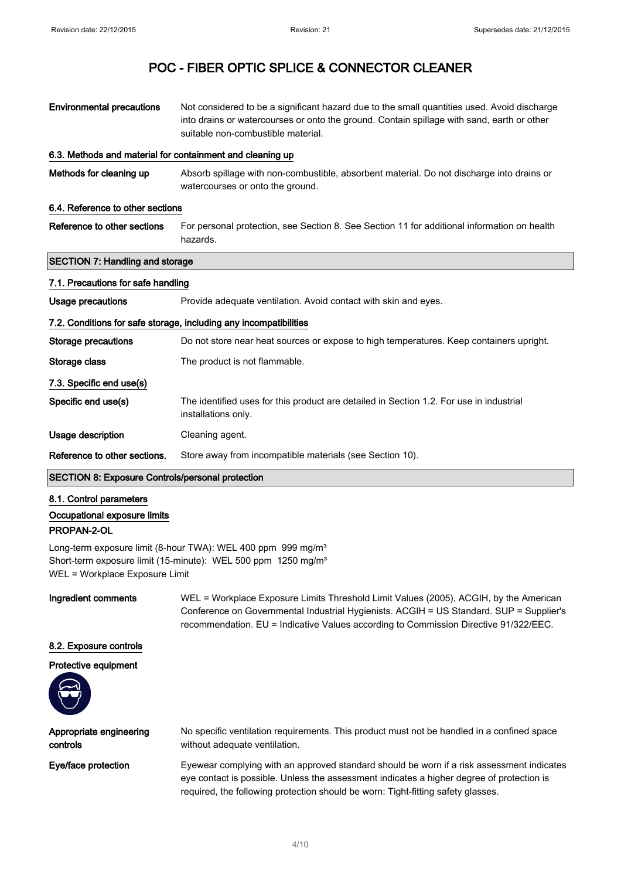| <b>Environmental precautions</b>                          | Not considered to be a significant hazard due to the small quantities used. Avoid discharge<br>into drains or watercourses or onto the ground. Contain spillage with sand, earth or other<br>suitable non-combustible material. |  |  |
|-----------------------------------------------------------|---------------------------------------------------------------------------------------------------------------------------------------------------------------------------------------------------------------------------------|--|--|
| 6.3. Methods and material for containment and cleaning up |                                                                                                                                                                                                                                 |  |  |
| Methods for cleaning up                                   | Absorb spillage with non-combustible, absorbent material. Do not discharge into drains or<br>watercourses or onto the ground.                                                                                                   |  |  |
| 6.4. Reference to other sections                          |                                                                                                                                                                                                                                 |  |  |
| Reference to other sections                               | For personal protection, see Section 8. See Section 11 for additional information on health<br>hazards.                                                                                                                         |  |  |
| <b>SECTION 7: Handling and storage</b>                    |                                                                                                                                                                                                                                 |  |  |
| 7.1. Precautions for safe handling                        |                                                                                                                                                                                                                                 |  |  |
| Usage precautions                                         | Provide adequate ventilation. Avoid contact with skin and eyes.                                                                                                                                                                 |  |  |
|                                                           | 7.2. Conditions for safe storage, including any incompatibilities                                                                                                                                                               |  |  |
| <b>Storage precautions</b>                                | Do not store near heat sources or expose to high temperatures. Keep containers upright.                                                                                                                                         |  |  |
| Storage class                                             | The product is not flammable.                                                                                                                                                                                                   |  |  |
| 7.3. Specific end use(s)                                  |                                                                                                                                                                                                                                 |  |  |
| Specific end use(s)                                       | The identified uses for this product are detailed in Section 1.2. For use in industrial<br>installations only.                                                                                                                  |  |  |
| Usage description                                         | Cleaning agent.                                                                                                                                                                                                                 |  |  |
| Reference to other sections.                              | Store away from incompatible materials (see Section 10).                                                                                                                                                                        |  |  |
| <b>SECTION 8: Exposure Controls/personal protection</b>   |                                                                                                                                                                                                                                 |  |  |
| 8.1. Control parameters                                   |                                                                                                                                                                                                                                 |  |  |
| Occupational exposure limits                              |                                                                                                                                                                                                                                 |  |  |
| PROPAN-2-OL                                               |                                                                                                                                                                                                                                 |  |  |

Long-term exposure limit (8-hour TWA): WEL 400 ppm 999 mg/m<sup>3</sup> Short-term exposure limit (15-minute): WEL 500 ppm 1250 mg/m<sup>3</sup> WEL = Workplace Exposure Limit

Ingredient comments WEL = Workplace Exposure Limits Threshold Limit Values (2005), ACGIH, by the American Conference on Governmental Industrial Hygienists. ACGIH = US Standard. SUP = Supplier's recommendation. EU = Indicative Values according to Commission Directive 91/322/EEC.

### 8.2. Exposure controls

#### Protective equipment



| Appropriate engineering | No specific ventilation requirements. This product must not be handled in a confined space |
|-------------------------|--------------------------------------------------------------------------------------------|
| controls                | without adequate ventilation.                                                              |
|                         |                                                                                            |

Eye/face protection Eyewear complying with an approved standard should be worn if a risk assessment indicates eye contact is possible. Unless the assessment indicates a higher degree of protection is required, the following protection should be worn: Tight-fitting safety glasses.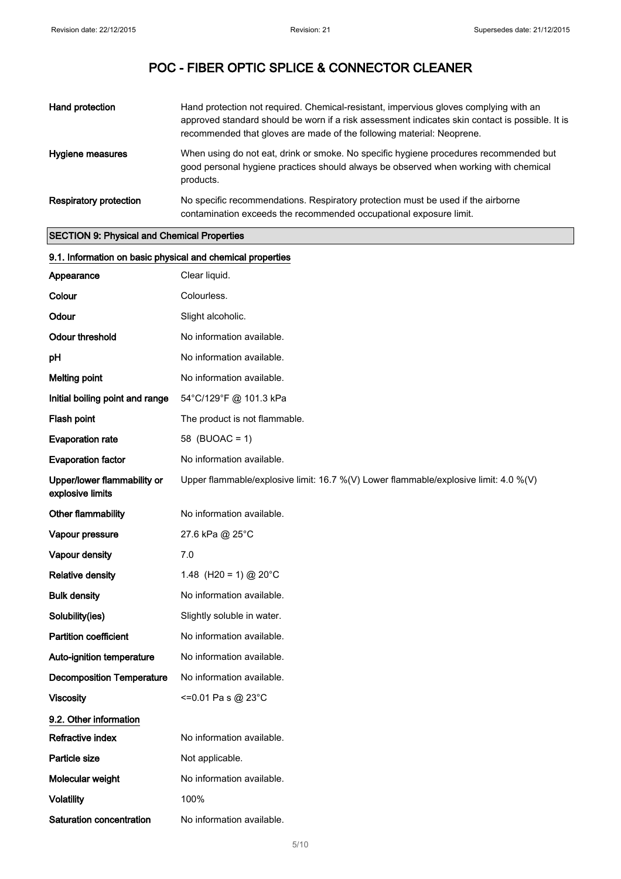| Hand protection        | Hand protection not required. Chemical-resistant, impervious gloves complying with an<br>approved standard should be worn if a risk assessment indicates skin contact is possible. It is<br>recommended that gloves are made of the following material: Neoprene. |
|------------------------|-------------------------------------------------------------------------------------------------------------------------------------------------------------------------------------------------------------------------------------------------------------------|
| Hygiene measures       | When using do not eat, drink or smoke. No specific hygiene procedures recommended but<br>good personal hygiene practices should always be observed when working with chemical<br>products.                                                                        |
| Respiratory protection | No specific recommendations. Respiratory protection must be used if the airborne<br>contamination exceeds the recommended occupational exposure limit.                                                                                                            |

### SECTION 9: Physical and Chemical Properties

| 9.1. Information on basic physical and chemical properties |                                                                                      |  |  |
|------------------------------------------------------------|--------------------------------------------------------------------------------------|--|--|
| Appearance                                                 | Clear liquid.                                                                        |  |  |
| Colour                                                     | Colourless.                                                                          |  |  |
| Odour                                                      | Slight alcoholic.                                                                    |  |  |
| <b>Odour threshold</b>                                     | No information available.                                                            |  |  |
| pH                                                         | No information available.                                                            |  |  |
| <b>Melting point</b>                                       | No information available.                                                            |  |  |
| Initial boiling point and range                            | 54°C/129°F @ 101.3 kPa                                                               |  |  |
| Flash point                                                | The product is not flammable.                                                        |  |  |
| <b>Evaporation rate</b>                                    | 58 (BUOAC = 1)                                                                       |  |  |
| <b>Evaporation factor</b>                                  | No information available.                                                            |  |  |
| Upper/lower flammability or<br>explosive limits            | Upper flammable/explosive limit: 16.7 %(V) Lower flammable/explosive limit: 4.0 %(V) |  |  |
| Other flammability                                         | No information available.                                                            |  |  |
| Vapour pressure                                            | 27.6 kPa @ 25°C                                                                      |  |  |
| Vapour density                                             | 7.0                                                                                  |  |  |
| <b>Relative density</b>                                    | 1.48 (H20 = 1) @ 20°C                                                                |  |  |
| <b>Bulk density</b>                                        | No information available.                                                            |  |  |
| Solubility(ies)                                            | Slightly soluble in water.                                                           |  |  |
| <b>Partition coefficient</b>                               | No information available.                                                            |  |  |
| Auto-ignition temperature                                  | No information available.                                                            |  |  |
| <b>Decomposition Temperature</b>                           | No information available.                                                            |  |  |
| <b>Viscosity</b>                                           | <=0.01 Pa s @ 23°C                                                                   |  |  |
| 9.2. Other information                                     |                                                                                      |  |  |
| Refractive index                                           | No information available.                                                            |  |  |
| Particle size                                              | Not applicable.                                                                      |  |  |
| Molecular weight                                           | No information available.                                                            |  |  |
| <b>Volatility</b>                                          | 100%                                                                                 |  |  |
| Saturation concentration                                   | No information available.                                                            |  |  |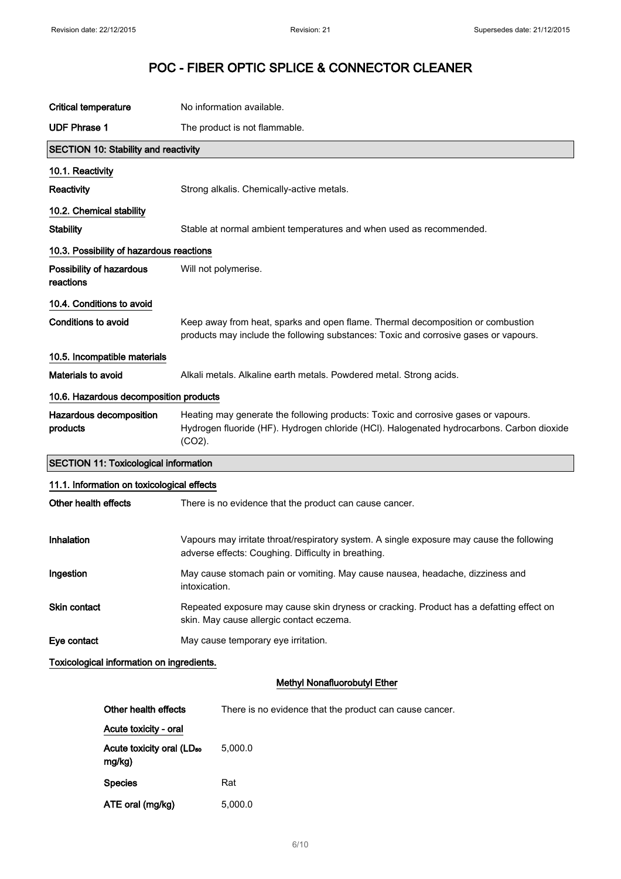| <b>Critical temperature</b>                  | No information available.                                                                                                                                                                    |  |  |  |
|----------------------------------------------|----------------------------------------------------------------------------------------------------------------------------------------------------------------------------------------------|--|--|--|
| <b>UDF Phrase 1</b>                          | The product is not flammable.                                                                                                                                                                |  |  |  |
| <b>SECTION 10: Stability and reactivity</b>  |                                                                                                                                                                                              |  |  |  |
| 10.1. Reactivity                             |                                                                                                                                                                                              |  |  |  |
| Reactivity                                   | Strong alkalis. Chemically-active metals.                                                                                                                                                    |  |  |  |
| 10.2. Chemical stability                     |                                                                                                                                                                                              |  |  |  |
| <b>Stability</b>                             | Stable at normal ambient temperatures and when used as recommended.                                                                                                                          |  |  |  |
| 10.3. Possibility of hazardous reactions     |                                                                                                                                                                                              |  |  |  |
| Possibility of hazardous<br>reactions        | Will not polymerise.                                                                                                                                                                         |  |  |  |
| 10.4. Conditions to avoid                    |                                                                                                                                                                                              |  |  |  |
| Conditions to avoid                          | Keep away from heat, sparks and open flame. Thermal decomposition or combustion<br>products may include the following substances: Toxic and corrosive gases or vapours.                      |  |  |  |
| 10.5. Incompatible materials                 |                                                                                                                                                                                              |  |  |  |
| Materials to avoid                           | Alkali metals. Alkaline earth metals. Powdered metal. Strong acids.                                                                                                                          |  |  |  |
| 10.6. Hazardous decomposition products       |                                                                                                                                                                                              |  |  |  |
| Hazardous decomposition<br>products          | Heating may generate the following products: Toxic and corrosive gases or vapours.<br>Hydrogen fluoride (HF). Hydrogen chloride (HCl). Halogenated hydrocarbons. Carbon dioxide<br>$(CO2)$ . |  |  |  |
| <b>SECTION 11: Toxicological information</b> |                                                                                                                                                                                              |  |  |  |
| 11.1. Information on toxicological effects   |                                                                                                                                                                                              |  |  |  |
| Other health effects                         | There is no evidence that the product can cause cancer.                                                                                                                                      |  |  |  |
| Inhalation                                   | Vapours may irritate throat/respiratory system. A single exposure may cause the following<br>adverse effects: Coughing. Difficulty in breathing.                                             |  |  |  |
| Ingestion                                    | May cause stomach pain or vomiting. May cause nausea, headache, dizziness and<br>intoxication.                                                                                               |  |  |  |
| Skin contact                                 | Repeated exposure may cause skin dryness or cracking. Product has a defatting effect on<br>skin. May cause allergic contact eczema.                                                          |  |  |  |
| Eye contact                                  | May cause temporary eye irritation.                                                                                                                                                          |  |  |  |
|                                              | Toxicological information on ingredients.                                                                                                                                                    |  |  |  |
|                                              | Methyl Nonafluorobutyl Ether                                                                                                                                                                 |  |  |  |
| Other health effects                         | There is no evidence that the product can cause cancer.                                                                                                                                      |  |  |  |
| Acute toxicity - oral                        |                                                                                                                                                                                              |  |  |  |

Acute toxicity oral (LD<sub>50</sub>

Species Rat

ATE oral (mg/kg) 5,000.0

5,000.0

mg/kg)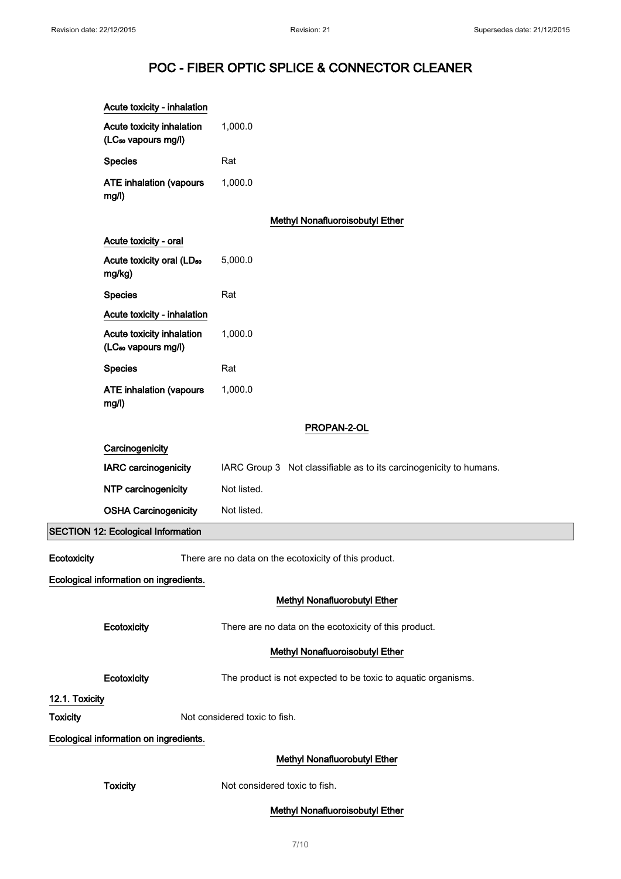|                 | Acute toxicity - inhalation                                                                                   |                                                               |  |  |
|-----------------|---------------------------------------------------------------------------------------------------------------|---------------------------------------------------------------|--|--|
|                 | Acute toxicity inhalation<br>(LC <sub>50</sub> vapours mg/l)                                                  | 1,000.0                                                       |  |  |
|                 | <b>Species</b>                                                                                                | Rat                                                           |  |  |
|                 | <b>ATE inhalation (vapours</b><br>mg/l)                                                                       | 1,000.0                                                       |  |  |
|                 |                                                                                                               | Methyl Nonafluoroisobutyl Ether                               |  |  |
|                 | Acute toxicity - oral                                                                                         |                                                               |  |  |
|                 | Acute toxicity oral (LD <sub>50</sub><br>mg/kg)                                                               | 5,000.0                                                       |  |  |
|                 | <b>Species</b>                                                                                                | Rat                                                           |  |  |
|                 | Acute toxicity - inhalation                                                                                   |                                                               |  |  |
|                 | Acute toxicity inhalation<br>(LC <sub>50</sub> vapours mg/l)                                                  | 1,000.0                                                       |  |  |
|                 | <b>Species</b>                                                                                                | Rat                                                           |  |  |
|                 | <b>ATE inhalation (vapours</b><br>mg/l)                                                                       | 1,000.0                                                       |  |  |
|                 |                                                                                                               | PROPAN-2-OL                                                   |  |  |
|                 | Carcinogenicity<br>IARC carcinogenicity<br>IARC Group 3 Not classifiable as to its carcinogenicity to humans. |                                                               |  |  |
|                 |                                                                                                               |                                                               |  |  |
|                 | NTP carcinogenicity                                                                                           | Not listed.                                                   |  |  |
|                 | <b>OSHA Carcinogenicity</b>                                                                                   | Not listed.                                                   |  |  |
|                 | <b>SECTION 12: Ecological Information</b>                                                                     |                                                               |  |  |
| Ecotoxicity     |                                                                                                               | There are no data on the ecotoxicity of this product.         |  |  |
|                 | Ecological information on ingredients.                                                                        |                                                               |  |  |
|                 |                                                                                                               | Methyl Nonafluorobutyl Ether                                  |  |  |
|                 | Ecotoxicity                                                                                                   | There are no data on the ecotoxicity of this product.         |  |  |
|                 |                                                                                                               | <b>Methyl Nonafluoroisobutyl Ether</b>                        |  |  |
|                 | Ecotoxicity                                                                                                   | The product is not expected to be toxic to aquatic organisms. |  |  |
| 12.1. Toxicity  |                                                                                                               |                                                               |  |  |
| <b>Toxicity</b> |                                                                                                               | Not considered toxic to fish.                                 |  |  |
|                 | Ecological information on ingredients.                                                                        |                                                               |  |  |
|                 |                                                                                                               | <b>Methyl Nonafluorobutyl Ether</b>                           |  |  |
|                 | <b>Toxicity</b>                                                                                               | Not considered toxic to fish.                                 |  |  |
|                 |                                                                                                               | Methyl Nonafluoroisobutyl Ether                               |  |  |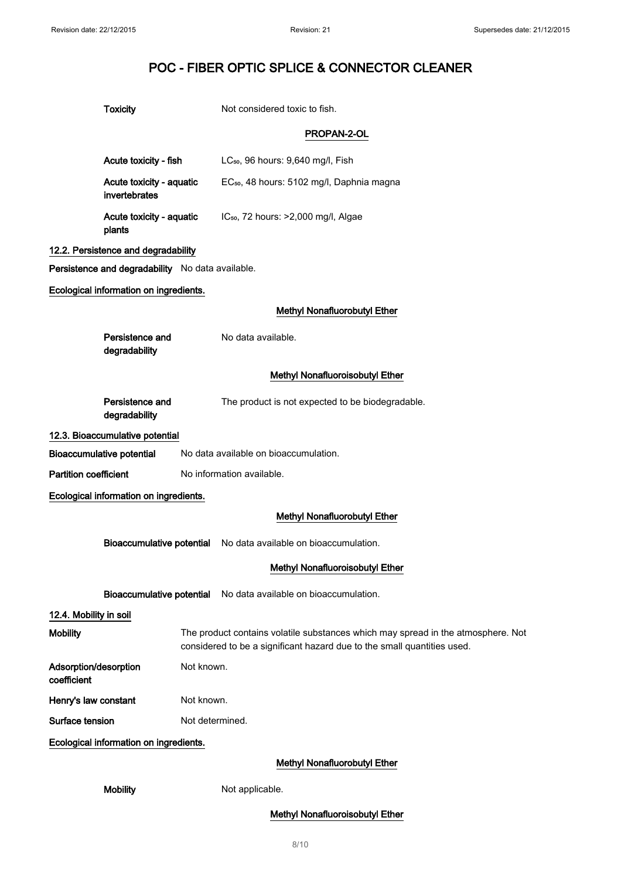| ٧ |  |
|---|--|
|   |  |

# Not considered toxic to fish.

### PROPAN-2-OL

| Acute toxicity - fish                            |                                                                                                                                                             | LC <sub>50</sub> , 96 hours: 9,640 mg/l, Fish                   |
|--------------------------------------------------|-------------------------------------------------------------------------------------------------------------------------------------------------------------|-----------------------------------------------------------------|
| Acute toxicity - aquatic<br>invertebrates        |                                                                                                                                                             | EC <sub>50</sub> , 48 hours: 5102 mg/l, Daphnia magna           |
| Acute toxicity - aquatic<br>plants               |                                                                                                                                                             | IC <sub>50</sub> , 72 hours: >2,000 mg/l, Algae                 |
| 12.2. Persistence and degradability              |                                                                                                                                                             |                                                                 |
| Persistence and degradability No data available. |                                                                                                                                                             |                                                                 |
| Ecological information on ingredients.           |                                                                                                                                                             |                                                                 |
|                                                  |                                                                                                                                                             | <b>Methyl Nonafluorobutyl Ether</b>                             |
| Persistence and<br>degradability                 |                                                                                                                                                             | No data available.                                              |
|                                                  |                                                                                                                                                             | Methyl Nonafluoroisobutyl Ether                                 |
| Persistence and<br>degradability                 |                                                                                                                                                             | The product is not expected to be biodegradable.                |
| 12.3. Bioaccumulative potential                  |                                                                                                                                                             |                                                                 |
| <b>Bioaccumulative potential</b>                 |                                                                                                                                                             | No data available on bioaccumulation.                           |
| <b>Partition coefficient</b>                     |                                                                                                                                                             | No information available.                                       |
| Ecological information on ingredients.           |                                                                                                                                                             |                                                                 |
|                                                  |                                                                                                                                                             | Methyl Nonafluorobutyl Ether                                    |
|                                                  |                                                                                                                                                             | Bioaccumulative potential No data available on bioaccumulation. |
|                                                  |                                                                                                                                                             | Methyl Nonafluoroisobutyl Ether                                 |
| <b>Bioaccumulative potential</b>                 |                                                                                                                                                             | No data available on bioaccumulation.                           |
| 12.4. Mobility in soil                           |                                                                                                                                                             |                                                                 |
| <b>Mobility</b>                                  | The product contains volatile substances which may spread in the atmosphere. Not<br>considered to be a significant hazard due to the small quantities used. |                                                                 |
| Adsorption/desorption<br>coefficient             | Not known.                                                                                                                                                  |                                                                 |
| Henry's law constant                             | Not known.                                                                                                                                                  |                                                                 |
| Surface tension                                  | Not determined.                                                                                                                                             |                                                                 |
| Ecological information on ingredients.           |                                                                                                                                                             |                                                                 |
|                                                  |                                                                                                                                                             | Methyl Nonafluorobutyl Ether                                    |
| <b>Mobility</b>                                  |                                                                                                                                                             | Not applicable.                                                 |

Methyl Nonafluoroisobutyl Ether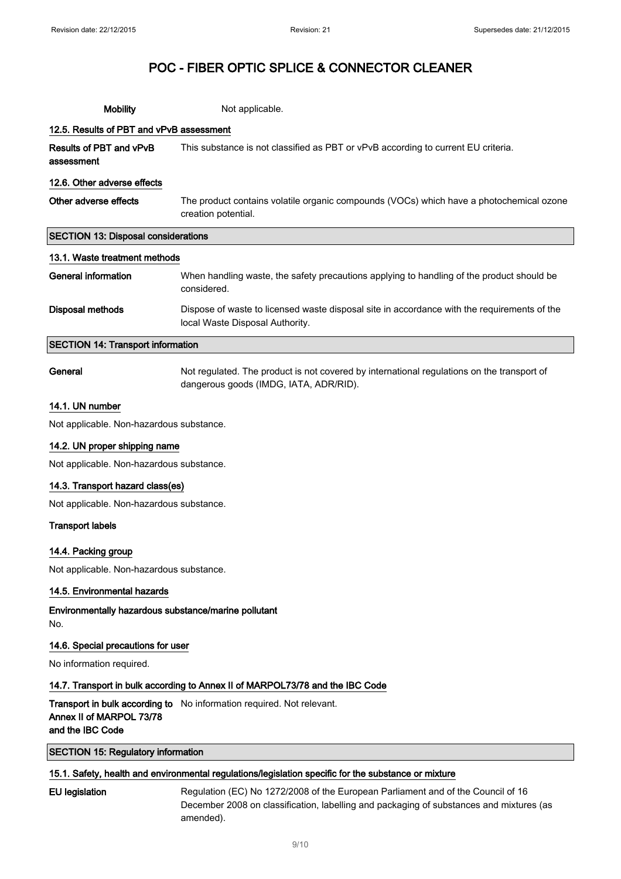| <b>Mobility</b>                            | Not applicable.                                                                                                                |  |
|--------------------------------------------|--------------------------------------------------------------------------------------------------------------------------------|--|
| 12.5. Results of PBT and vPvB assessment   |                                                                                                                                |  |
| Results of PBT and vPvB<br>assessment      | This substance is not classified as PBT or vPvB according to current EU criteria.                                              |  |
| 12.6. Other adverse effects                |                                                                                                                                |  |
| Other adverse effects                      | The product contains volatile organic compounds (VOCs) which have a photochemical ozone<br>creation potential.                 |  |
| <b>SECTION 13: Disposal considerations</b> |                                                                                                                                |  |
| 13.1. Waste treatment methods              |                                                                                                                                |  |
| General information                        | When handling waste, the safety precautions applying to handling of the product should be<br>considered.                       |  |
| Disposal methods                           | Dispose of waste to licensed waste disposal site in accordance with the requirements of the<br>local Waste Disposal Authority. |  |
| <b>SECTION 14: Transport information</b>   |                                                                                                                                |  |

General **General** Not regulated. The product is not covered by international regulations on the transport of dangerous goods (IMDG, IATA, ADR/RID).

### 14.1. UN number

Not applicable. Non-hazardous substance.

### 14.2. UN proper shipping name

Not applicable. Non-hazardous substance.

### 14.3. Transport hazard class(es)

Not applicable. Non-hazardous substance.

### Transport labels

#### 14.4. Packing group

Not applicable. Non-hazardous substance.

### 14.5. Environmental hazards

Environmentally hazardous substance/marine pollutant No.

#### 14.6. Special precautions for user

No information required.

### 14.7. Transport in bulk according to Annex II of MARPOL73/78 and the IBC Code

**Transport in bulk according to** No information required. Not relevant. Annex II of MARPOL 73/78 and the IBC Code

### SECTION 15: Regulatory information

### 15.1. Safety, health and environmental regulations/legislation specific for the substance or mixture

EU legislation Regulation (EC) No 1272/2008 of the European Parliament and of the Council of 16 December 2008 on classification, labelling and packaging of substances and mixtures (as amended).